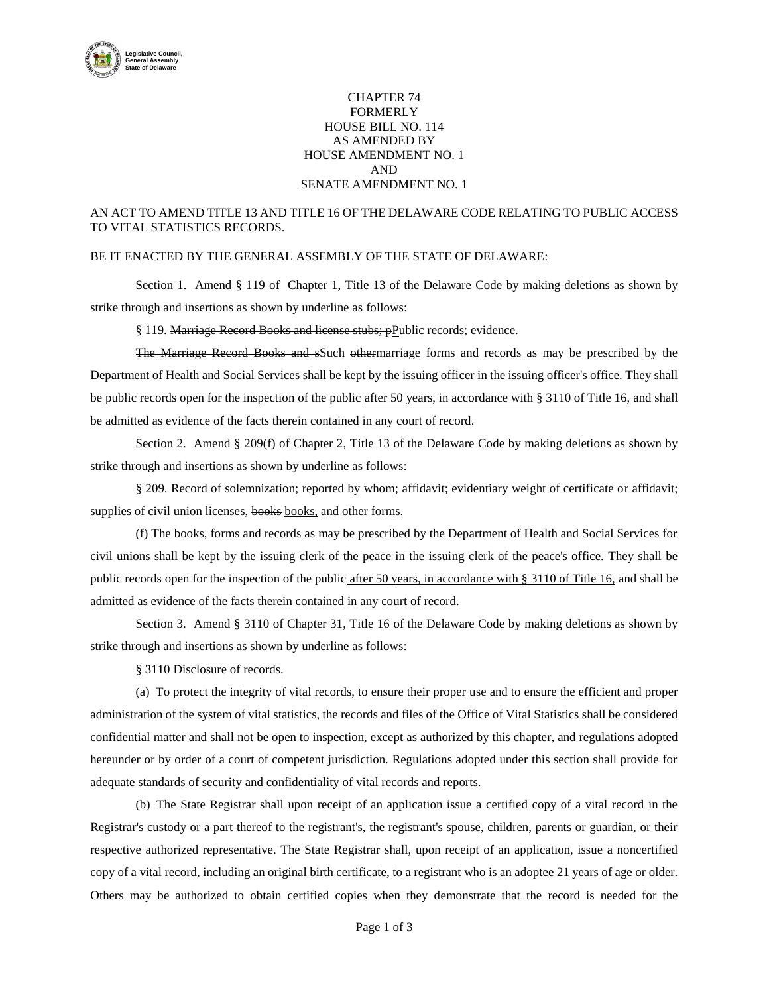

## CHAPTER 74 FORMERLY HOUSE BILL NO. 114 AS AMENDED BY HOUSE AMENDMENT NO. 1 AND SENATE AMENDMENT NO. 1

## AN ACT TO AMEND TITLE 13 AND TITLE 16 OF THE DELAWARE CODE RELATING TO PUBLIC ACCESS TO VITAL STATISTICS RECORDS.

## BE IT ENACTED BY THE GENERAL ASSEMBLY OF THE STATE OF DELAWARE:

Section 1. Amend § 119 of Chapter 1, Title 13 of the Delaware Code by making deletions as shown by strike through and insertions as shown by underline as follows:

§ 119. Marriage Record Books and license stubs; pPublic records; evidence.

The Marriage Record Books and sSuch othermarriage forms and records as may be prescribed by the Department of Health and Social Services shall be kept by the issuing officer in the issuing officer's office. They shall be public records open for the inspection of the public after 50 years, in accordance with § 3110 of Title 16, and shall be admitted as evidence of the facts therein contained in any court of record.

Section 2. Amend § 209(f) of Chapter 2, Title 13 of the Delaware Code by making deletions as shown by strike through and insertions as shown by underline as follows:

§ 209. Record of solemnization; reported by whom; affidavit; evidentiary weight of certificate or affidavit; supplies of civil union licenses, books books, and other forms.

(f) The books, forms and records as may be prescribed by the Department of Health and Social Services for civil unions shall be kept by the issuing clerk of the peace in the issuing clerk of the peace's office. They shall be public records open for the inspection of the public after 50 years, in accordance with § 3110 of Title 16, and shall be admitted as evidence of the facts therein contained in any court of record.

Section 3. Amend § 3110 of Chapter 31, Title 16 of the Delaware Code by making deletions as shown by strike through and insertions as shown by underline as follows:

§ 3110 Disclosure of records.

(a) To protect the integrity of vital records, to ensure their proper use and to ensure the efficient and proper administration of the system of vital statistics, the records and files of the Office of Vital Statistics shall be considered confidential matter and shall not be open to inspection, except as authorized by this chapter, and regulations adopted hereunder or by order of a court of competent jurisdiction. Regulations adopted under this section shall provide for adequate standards of security and confidentiality of vital records and reports.

(b) The State Registrar shall upon receipt of an application issue a certified copy of a vital record in the Registrar's custody or a part thereof to the registrant's, the registrant's spouse, children, parents or guardian, or their respective authorized representative. The State Registrar shall, upon receipt of an application, issue a noncertified copy of a vital record, including an original birth certificate, to a registrant who is an adoptee 21 years of age or older. Others may be authorized to obtain certified copies when they demonstrate that the record is needed for the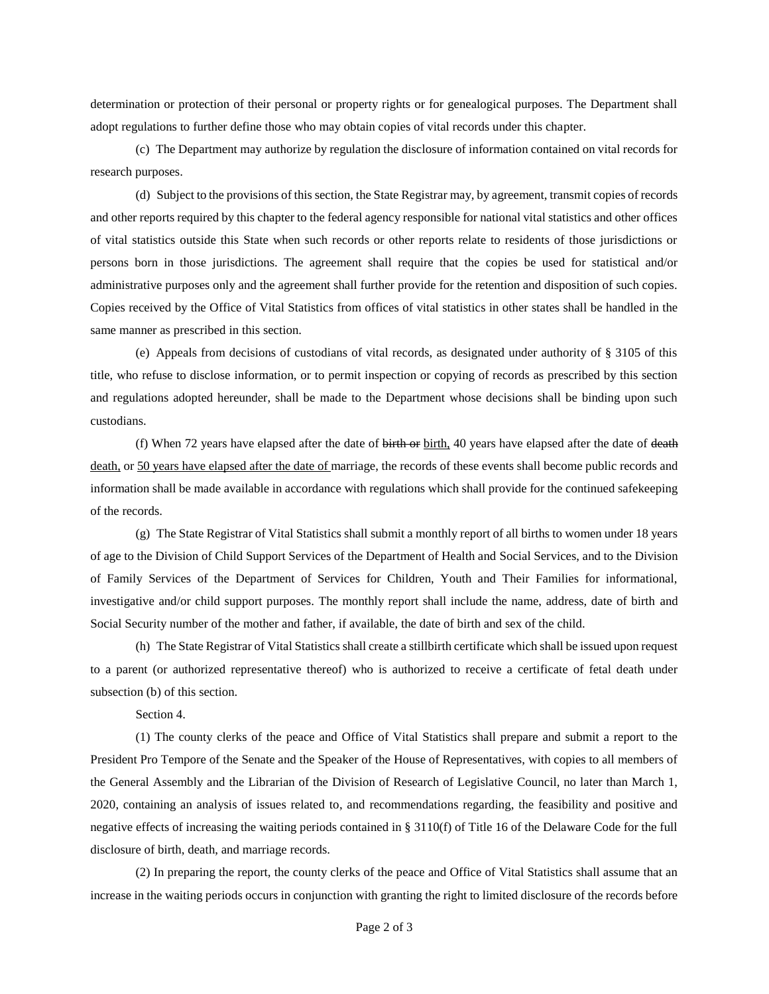determination or protection of their personal or property rights or for genealogical purposes. The Department shall adopt regulations to further define those who may obtain copies of vital records under this chapter.

(c) The Department may authorize by regulation the disclosure of information contained on vital records for research purposes.

(d) Subject to the provisions of this section, the State Registrar may, by agreement, transmit copies of records and other reports required by this chapter to the federal agency responsible for national vital statistics and other offices of vital statistics outside this State when such records or other reports relate to residents of those jurisdictions or persons born in those jurisdictions. The agreement shall require that the copies be used for statistical and/or administrative purposes only and the agreement shall further provide for the retention and disposition of such copies. Copies received by the Office of Vital Statistics from offices of vital statistics in other states shall be handled in the same manner as prescribed in this section.

(e) Appeals from decisions of custodians of vital records, as designated under authority of § 3105 of this title, who refuse to disclose information, or to permit inspection or copying of records as prescribed by this section and regulations adopted hereunder, shall be made to the Department whose decisions shall be binding upon such custodians.

(f) When 72 years have elapsed after the date of  $\frac{1}{\text{birth}}$  or birth, 40 years have elapsed after the date of  $\frac{1}{\text{death}}$ death, or 50 years have elapsed after the date of marriage, the records of these events shall become public records and information shall be made available in accordance with regulations which shall provide for the continued safekeeping of the records.

(g) The State Registrar of Vital Statistics shall submit a monthly report of all births to women under 18 years of age to the Division of Child Support Services of the Department of Health and Social Services, and to the Division of Family Services of the Department of Services for Children, Youth and Their Families for informational, investigative and/or child support purposes. The monthly report shall include the name, address, date of birth and Social Security number of the mother and father, if available, the date of birth and sex of the child.

(h) The State Registrar of Vital Statistics shall create a stillbirth certificate which shall be issued upon request to a parent (or authorized representative thereof) who is authorized to receive a certificate of fetal death under subsection (b) of this section.

Section 4.

(1) The county clerks of the peace and Office of Vital Statistics shall prepare and submit a report to the President Pro Tempore of the Senate and the Speaker of the House of Representatives, with copies to all members of the General Assembly and the Librarian of the Division of Research of Legislative Council, no later than March 1, 2020, containing an analysis of issues related to, and recommendations regarding, the feasibility and positive and negative effects of increasing the waiting periods contained in § 3110(f) of Title 16 of the Delaware Code for the full disclosure of birth, death, and marriage records.

(2) In preparing the report, the county clerks of the peace and Office of Vital Statistics shall assume that an increase in the waiting periods occurs in conjunction with granting the right to limited disclosure of the records before